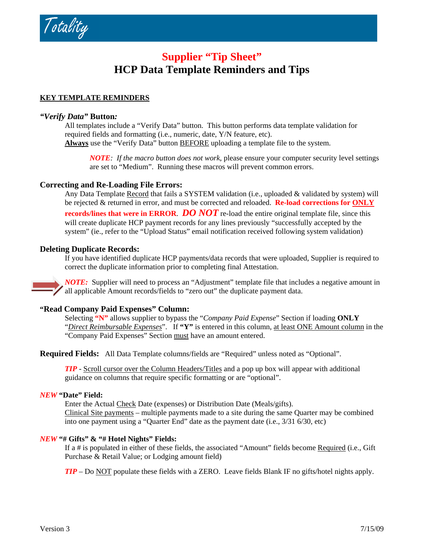/ otality

# **Supplier "Tip Sheet" HCP Data Template Reminders and Tips**

# **KEY TEMPLATE REMINDERS**

# *"Verify Data"* **Button***:*

All templates include a "Verify Data" button. This button performs data template validation for required fields and formatting (i.e., numeric, date, Y/N feature, etc). **Always** use the "Verify Data" button BEFORE uploading a template file to the system.

*NOTE: If the macro button does not work*, please ensure your computer security level settings are set to "Medium". Running these macros will prevent common errors.

# **Correcting and Re-Loading File Errors:**

Any Data Template Record that fails a SYSTEM validation (i.e., uploaded & validated by system) will be rejected & returned in error, and must be corrected and reloaded. **Re-load corrections for ONLY records/lines that were in ERROR**. *DO NOT* re-load the entire original template file, since this will create duplicate HCP payment records for any lines previously "successfully accepted by the system" (ie., refer to the "Upload Status" email notification received following system validation)

### **Deleting Duplicate Records:**

If you have identified duplicate HCP payments/data records that were uploaded, Supplier is required to correct the duplicate information prior to completing final Attestation.

*NOTE:* Supplier will need to process an "Adjustment" template file that includes a negative amount in all applicable Amount records/fields to "zero out" the duplicate payment data.

### **"Read Company Paid Expenses" Column:**

Selecting **"N"** allows supplier to bypass the "*Company Paid Expense*" Section if loading **ONLY**  "*Direct Reimbursable Expenses*". If **"Y"** is entered in this column, at least ONE Amount column in the "Company Paid Expenses" Section must have an amount entered.

**Required Fields:** All Data Template columns/fields are "Required" unless noted as "Optional".

*TIP* - Scroll cursor over the Column Headers/Titles and a pop up box will appear with additional guidance on columns that require specific formatting or are "optional".

#### *NEW* **"Date" Field:**

Enter the Actual Check Date (expenses) or Distribution Date (Meals/gifts). Clinical Site payments – multiple payments made to a site during the same Quarter may be combined into one payment using a "Quarter End" date as the payment date (i.e., 3/31 6/30, etc)

### *NEW* **"# Gifts" & "# Hotel Nights" Fields:**

If a # is populated in either of these fields, the associated "Amount" fields become Required (i.e., Gift Purchase & Retail Value; or Lodging amount field)

*TIP* – Do NOT populate these fields with a ZERO. Leave fields Blank IF no gifts/hotel nights apply.